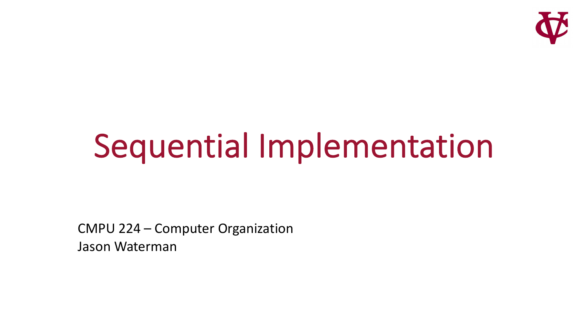

# Sequential Implementation

CMPU 224 – Computer Organization Jason Waterman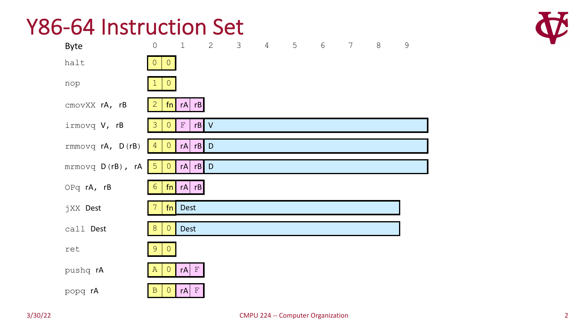#### Y86-64 Instruction Set

| <b>Byte</b>      | $\mathsf O$                     | $\mathbf 1$                    | 2      | $\mathcal{S}$ | $\overline{4}$ | 5 | $\sqrt{6}$ | $7\phantom{.0}$ | $\,8\,$ | $\mathsf 9$ |
|------------------|---------------------------------|--------------------------------|--------|---------------|----------------|---|------------|-----------------|---------|-------------|
| halt             | $\overline{0}$<br>$\theta$      |                                |        |               |                |   |            |                 |         |             |
| nop              | $\circ$                         |                                |        |               |                |   |            |                 |         |             |
| cmovXX rA, rB    | $\overline{2}$                  | $fn$ $rA$ $rB$                 |        |               |                |   |            |                 |         |             |
| irmovq V, rB     | 3<br>$\theta$                   | $\mathbf F$                    | $rB$ V |               |                |   |            |                 |         |             |
| rmmovq rA, D(rB) | $\mathsf{O}$<br>$\vert 4 \vert$ | rA                             | $rB$ D |               |                |   |            |                 |         |             |
| mrmovq D(rB), rA | $5\phantom{.}$<br>$\mathsf{O}$  | rA                             | $rB$ D |               |                |   |            |                 |         |             |
| OPq rA, rB       | $6\phantom{.}6$                 | $fn$ rA rB                     |        |               |                |   |            |                 |         |             |
| jXX Dest         | fn                              | <b>Dest</b>                    |        |               |                |   |            |                 |         |             |
| call Dest        | $8\,$<br>$\bullet$              | <b>Dest</b>                    |        |               |                |   |            |                 |         |             |
| ret              | $\overline{9}$<br>$\theta$      |                                |        |               |                |   |            |                 |         |             |
| pushq rA         | $\bullet$<br>$\mathbb{A}$       | $\vert \mathbf{F} \vert$<br>rA |        |               |                |   |            |                 |         |             |
| popq rA          | $\theta$<br>$\, {\bf B}$        | $\mathbb F$<br>rA              |        |               |                |   |            |                 |         |             |

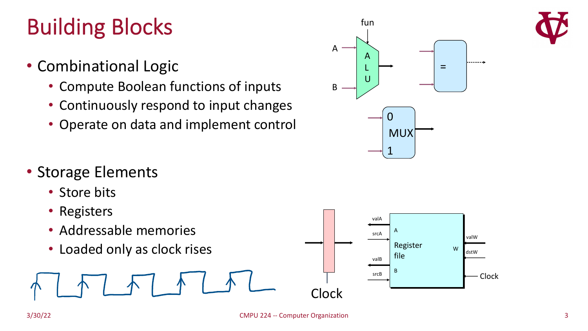# Building Blocks

- Combinational Logic
	- Compute Boolean functions of inputs
	- Continuously respond to input changes
	- Operate on data and implement control
- Storage Elements
	- Store bits
	- Registers
	- Addressable memories
	-



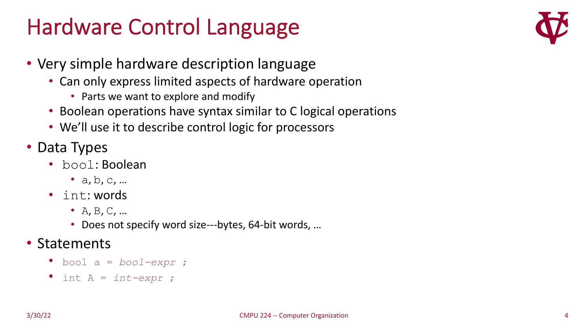### Hardware Control Language



- Very simple hardware description language
	- Can only express limited aspects of hardware operation
		- Parts we want to explore and modify
	- Boolean operations have syntax similar to C logical operations
	- We'll use it to describe control logic for processors
- Data Types
	- bool: Boolean
		- $a, b, c, ...$
	- int: words
		- $A, B, C, \ldots$
		- Does not specify word size---bytes, 64-bit words, …
- Statements
	- bool a = *bool-expr* ;
	- int A = *int-expr* ;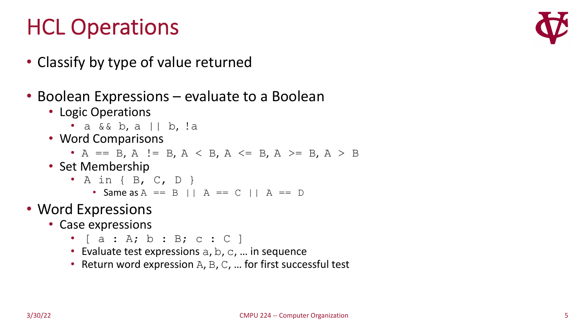## HCL Operations

- Classify by type of value returned
- Boolean Expressions evaluate to a Boolean
	- Logic Operations
		- a & & b, a || b, !a
	- Word Comparisons
		- A == B, A != B, A < B, A <= B, A >= B, A > B
	- Set Membership
		- A in { B, C, D }
			- Same as  $A = B | A = C | A = D$
- Word Expressions
	- Case expressions
		- $[a : A; b : B; c : C]$
		- Evaluate test expressions  $a, b, c, ...$  in sequence
		- Return word expression  $A$ ,  $B$ ,  $C$ , ... for first successful test

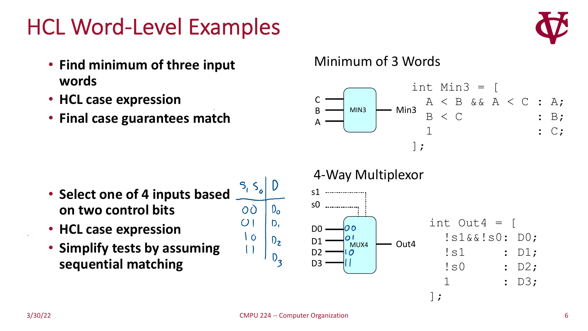#### HCL Word-Level Examples



- **Find minimum of three input words**
- **HCL case expression**
- **Final case guarantees match**

#### Minimum of 3 Words



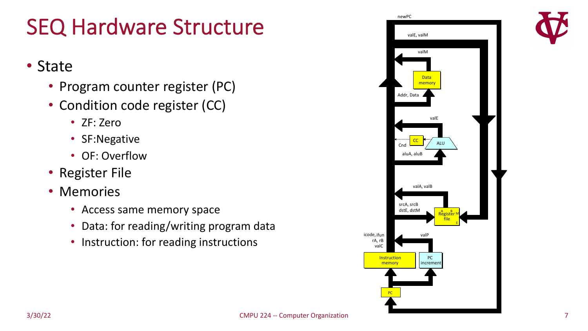### SEQ Hardware Structure

#### • State

- Program counter register (PC)
- Condition code register (CC)
	- ZF: Zero
	- SF:Negative
	- OF: Overflow
- Register File
- Memories
	- Access same memory space
	- Data: for reading/writing program data
	- Instruction: for reading instructions

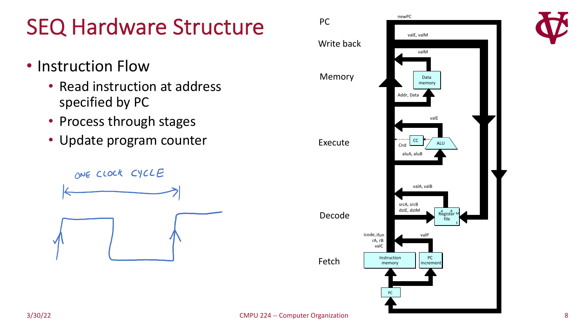## SEQ Hardware Structure

- Instruction Flow
	- Read instruction at address specified by PC
	- Process through stages
	- Update program counter



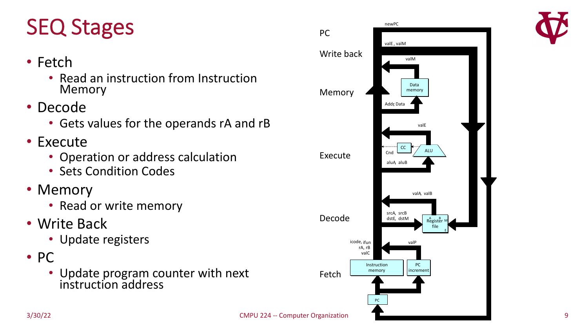# SEQ Stages

- Fetch
	- Read an instruction from Instruction Memory
- Decode
	- Gets values for the operands rA and rB
- Execute
	- Operation or address calculation
	- Sets Condition Codes
- Memory
	- Read or write memory
- Write Back
	- Update registers
- PC
	- Update program counter with next instruction address



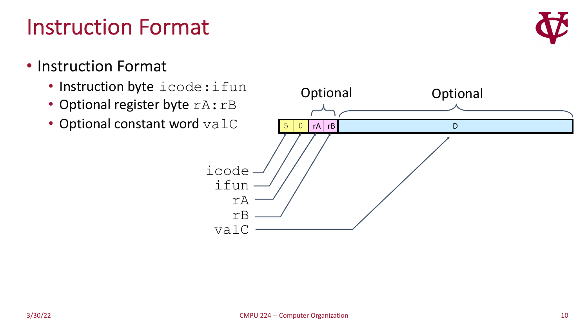#### Instruction Format

- Instruction Format
	- Instruction byte icode: ifun
	- Optional register byte rA:rB
	- Optional constant word valC



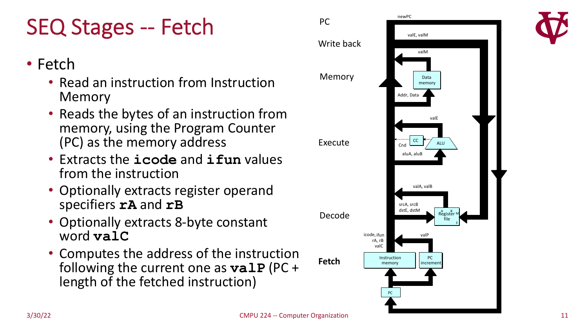# SEQ Stages -- Fetch

- Fetch
	- Read an instruction from Instruction Memory
	- Reads the bytes of an instruction from memory, using the Program Counter (PC) as the memory address
	- Extracts the **icode** and **ifun** values from the instruction
	- Optionally extracts register operand specifiers **rA** and **rB**
	- Optionally extracts 8-byte constant word **valC**
	- Computes the address of the instruction following the current one as **valP** (PC + length of the fetched instruction)

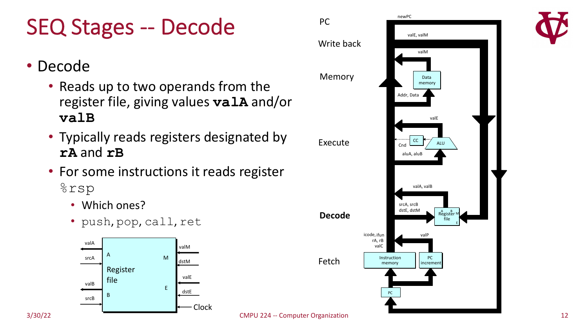# SEQ Stages -- Decode

- Decode
	- Reads up to two operands from the register file, giving values **valA** and/or **valB**
	- Typically reads registers designated by **rA** and **rB**
	- For some instructions it reads register %rsp
		- Which ones?
		- push, pop, call, ret



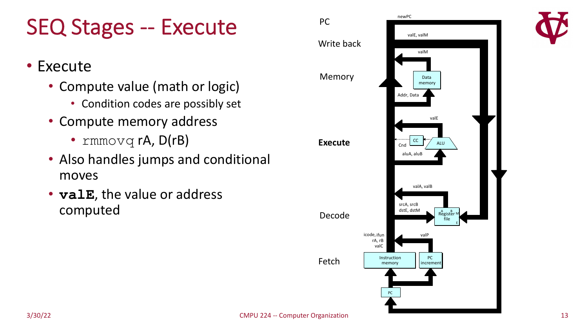### SEQ Stages -- Execute

- Execute
	- Compute value (math or logic)
		- Condition codes are possibly set
	- Compute memory address
		- rmmovq  $rA$ ,  $D(rB)$
	- Also handles jumps and conditional moves
	- **valE**, the value or address computed

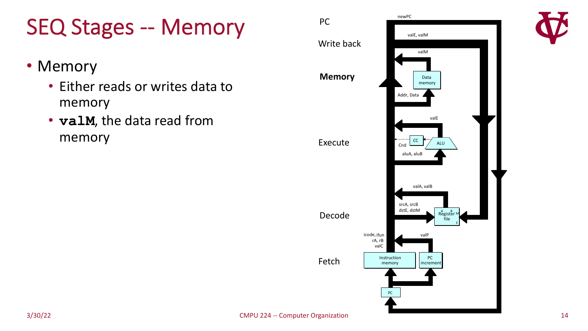## SEQ Stages -- Memory

- Memory
	- Either reads or writes data to memory
	- **valM**, the data read from memory

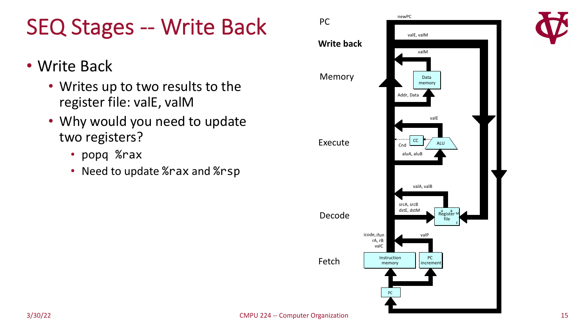### SEQ Stages -- Write Back

- Write Back
	- Writes up to two results to the register file: valE, valM
	- Why would you need to update two registers?
		- popq %rax
		- Need to update %rax and %rsp

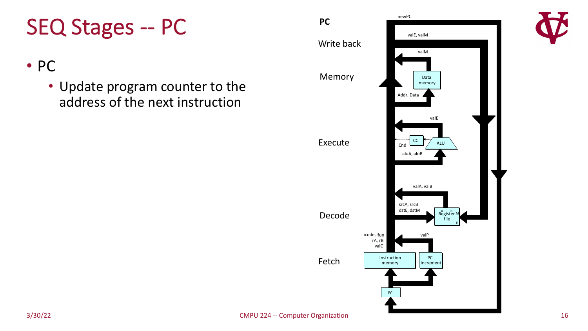#### SEQ Stages -- PC

#### • PC

• Update program counter to the address of the next instruction

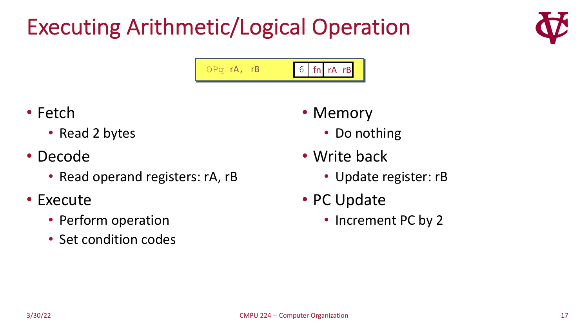# Executing Arithmetic/Logical Operation



- Fetch
	- Read 2 bytes
- Decode
	- Read operand registers: rA, rB
- Execute
	- Perform operation
	- Set condition codes
- Memory
	- Do nothing
- Write back
	- Update register: rB
- PC Update
	- Increment PC by 2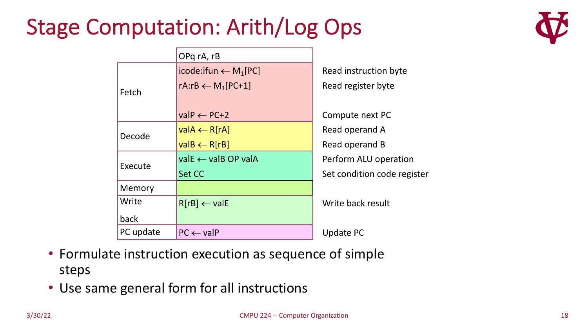### Stage Computation: Arith/Log Ops



| OPq rA, rB                                  |                             |
|---------------------------------------------|-----------------------------|
| icode:ifun $\leftarrow$ M <sub>1</sub> [PC] | Read instruction byte       |
| rA:rB $\leftarrow M_1[PC+1]$                | Read register byte          |
|                                             |                             |
| $valP \leftarrow PC+2$                      | Compute next PC             |
| $valA \leftarrow R[rA]$                     | Read operand A              |
| $valB \leftarrow R[rB]$                     | Read operand B              |
| $valE \leftarrow valB OP valA$              | Perform ALU operation       |
| Set CC                                      | Set condition code register |
|                                             |                             |
| $R[rB] \leftarrow$ valE                     | Write back result           |
|                                             |                             |
| $PC \leftarrow$ valP                        | <b>Update PC</b>            |
|                                             |                             |

- Formulate instruction execution as sequence of simple steps
- Use same general form for all instructions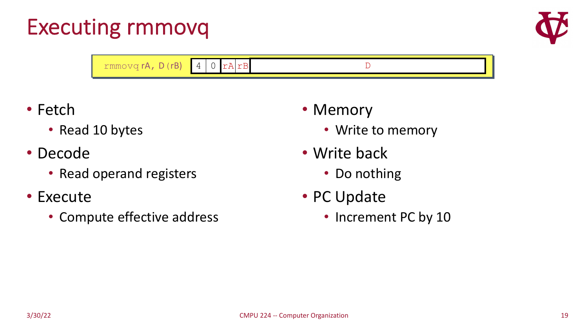### Executing rmmovq



| $rmmovq rA, D(rB)$ 4 0 $rA/rB$ |  |  |
|--------------------------------|--|--|

- Fetch
	- Read 10 bytes
- Decode
	- Read operand registers
- Execute
	- Compute effective address
- Memory
	- Write to memory
- Write back
	- Do nothing
- PC Update
	- Increment PC by 10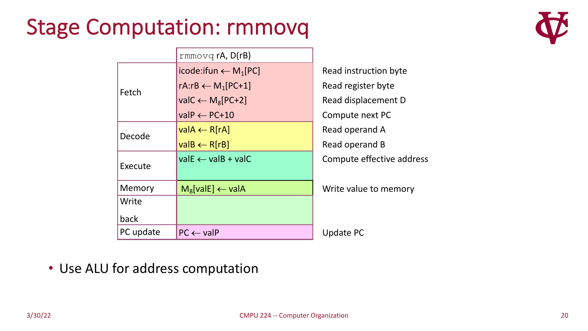### Stage Computation: rmmovq



|           | $rmmovq$ rA, $D(rB)$                        |                           |
|-----------|---------------------------------------------|---------------------------|
|           | icode:ifun $\leftarrow$ M <sub>1</sub> [PC] | Read instruction byte     |
| Fetch     | rA:rB $\leftarrow M_1[PC+1]$                | Read register byte        |
|           | val $C \leftarrow M_8[PC+2]$                | Read displacement D       |
|           | $valP \leftarrow PC+10$                     | Compute next PC           |
| Decode    | $valA \leftarrow R[rA]$                     | Read operand A            |
|           | $valB \leftarrow R[rB]$                     | Read operand B            |
| Execute   | $valE \leftarrow valB + valC$               | Compute effective address |
| Memory    | $M_8[valE] \leftarrow valA$                 | Write value to memory     |
| Write     |                                             |                           |
| back      |                                             |                           |
| PC update | $PC \leftarrow$ valP                        | <b>Update PC</b>          |
|           |                                             |                           |

• Use ALU for address computation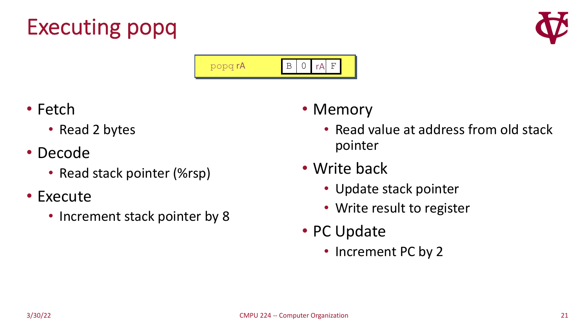# Executing popq





- Fetch
	- Read 2 bytes
- Decode
	- Read stack pointer (%rsp)
- Execute
	- Increment stack pointer by 8
- Memory
	- Read value at address from old stack pointer
- Write back
	- Update stack pointer
	- Write result to register
- PC Update
	- Increment PC by 2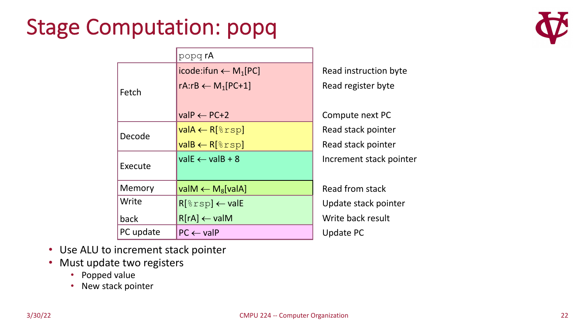### Stage Computation: popq



|           | popq rA                                     |                         |
|-----------|---------------------------------------------|-------------------------|
|           | icode:ifun $\leftarrow$ M <sub>1</sub> [PC] | Read instruction byte   |
| Fetch     | rA:rB $\leftarrow M_1[PC+1]$                | Read register byte      |
|           |                                             |                         |
|           | $valP \leftarrow PC+2$                      | Compute next PC         |
| Decode    | $valA \leftarrow R[\text{srsp}]$            | Read stack pointer      |
|           | $valB \leftarrow R[\text{srsp}]$            | Read stack pointer      |
| Execute   | $valE \leftarrow valB + 8$                  | Increment stack pointer |
|           |                                             |                         |
| Memory    | valM $\leftarrow$ M <sub>8</sub> [valA]     | Read from stack         |
| Write     | $R[\text{srsp}] \leftarrow \text{valE}$     | Update stack pointer    |
| back      | $R[rA] \leftarrow$ valM                     | Write back result       |
| PC update | $PC \leftarrow$ valP                        | <b>Update PC</b>        |

- Use ALU to increment stack pointer
- Must update two registers
	- Popped value
	- New stack pointer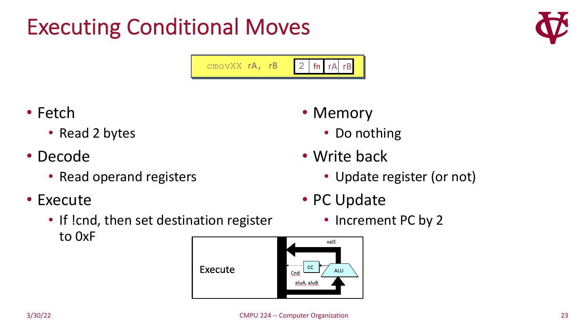# Executing Conditional Moves





- Fetch
	- Read 2 bytes
- Decode
	- Read operand registers
- Execute
	- If !cnd, then set destination register to 0xF



- Memory
	- Do nothing
- Write back
	- Update register (or not)
- PC Update
	- Increment PC by 2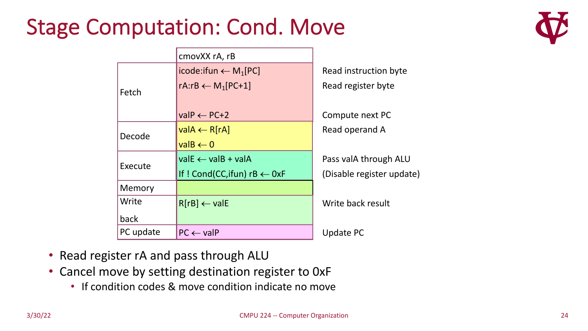#### Stage Computation: Cond. Move



|           | cmovXX rA, rB                               |                           |
|-----------|---------------------------------------------|---------------------------|
|           | icode:ifun $\leftarrow$ M <sub>1</sub> [PC] | Read instruction byte     |
| Fetch     | rA:rB $\leftarrow M_1[PC+1]$                | Read register byte        |
|           |                                             |                           |
|           | $valP \leftarrow PC+2$                      | Compute next PC           |
| Decode    | $valA \leftarrow R[rA]$                     | Read operand A            |
|           | $value \leftarrow 0$                        |                           |
| Execute   | $valE \leftarrow valB + valA$               | Pass valA through ALU     |
|           | If ! Cond(CC, if un) $rB \leftarrow OxF$    | (Disable register update) |
| Memory    |                                             |                           |
| Write     | $R[rB] \leftarrow$ valE                     | Write back result         |
| back      |                                             |                           |
| PC update | $PC \leftarrow$ valP                        | <b>Update PC</b>          |

- Read register rA and pass through ALU
- Cancel move by setting destination register to 0xF
	- If condition codes & move condition indicate no move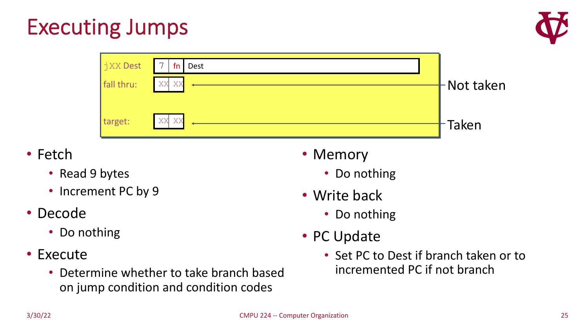# Executing Jumps



- Fetch
	- Read 9 bytes
	- Increment PC by 9
- Decode
	- Do nothing
- Execute
	- Determine whether to take branch based on jump condition and condition codes
- Memory
	- Do nothing
- Write back
	- Do nothing
- PC Update
	- Set PC to Dest if branch taken or to incremented PC if not branch

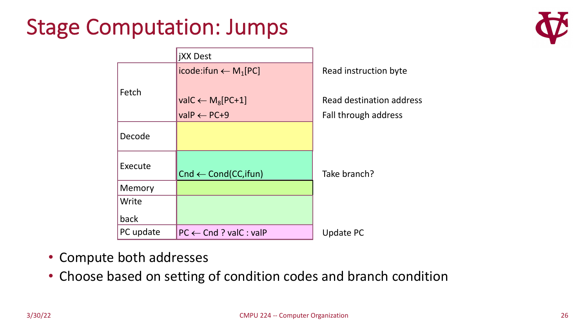### Stage Computation: Jumps



|           | <b>jXX Dest</b>                             |                                 |
|-----------|---------------------------------------------|---------------------------------|
|           | icode:ifun $\leftarrow$ M <sub>1</sub> [PC] | Read instruction byte           |
| Fetch     |                                             |                                 |
|           | val $C \leftarrow M_8[PC+1]$                | <b>Read destination address</b> |
|           | $valP \leftarrow PC + 9$                    | Fall through address            |
| Decode    |                                             |                                 |
|           |                                             |                                 |
| Execute   | $Cnd \leftarrow Cond(CC,ifun)$              | Take branch?                    |
| Memory    |                                             |                                 |
| Write     |                                             |                                 |
| back      |                                             |                                 |
| PC update | $PC \leftarrow$ Cnd ? valC : valP           | <b>Update PC</b>                |

- Compute both addresses
- Choose based on setting of condition codes and branch condition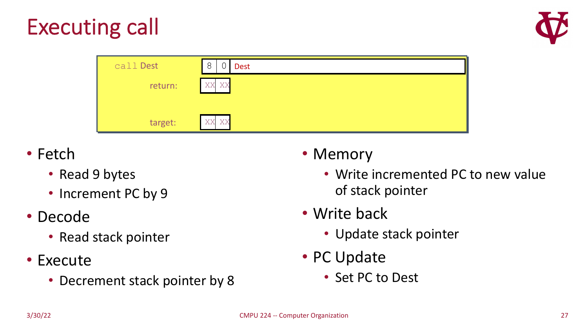



| call Dest | 8<br><b>Dest</b> |
|-----------|------------------|
| return:   | XX<br>XX         |
|           |                  |
| target:   | XX XX            |

- Fetch
	- Read 9 bytes
	- Increment PC by 9
- Decode
	- Read stack pointer
- Execute
	- Decrement stack pointer by 8

#### • Memory

- Write incremented PC to new value of stack pointer
- Write back
	- Update stack pointer
- PC Update
	- Set PC to Dest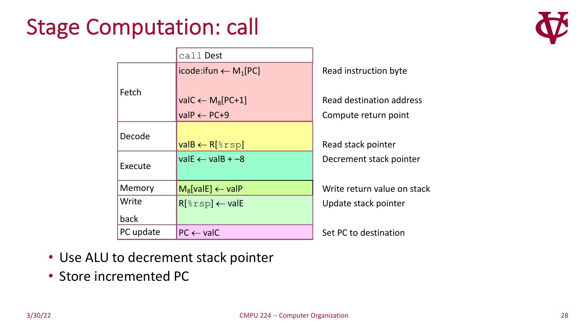### Stage Computation: call



|           | call Dest                                   |                             |
|-----------|---------------------------------------------|-----------------------------|
|           | icode:ifun $\leftarrow$ M <sub>1</sub> [PC] | Read instruction byte       |
| Fetch     |                                             |                             |
|           | val $C \leftarrow M_8[PC+1]$                | Read destination address    |
|           | $valP \leftarrow PC + 9$                    | Compute return point        |
| Decode    |                                             |                             |
|           | $valB \leftarrow R[\text{srsp}]$            | Read stack pointer          |
| Execute   | $valE \leftarrow valB + -8$                 | Decrement stack pointer     |
|           |                                             |                             |
| Memory    | $M_8$ [valE] $\leftarrow$ valP              | Write return value on stack |
| Write     | $R[\text{srsp}] \leftarrow \text{valE}$     | Update stack pointer        |
| back      |                                             |                             |
| PC update | $PC \leftarrow$ valC                        | Set PC to destination       |

• Use ALU to decrement stack pointer

• Store incremented PC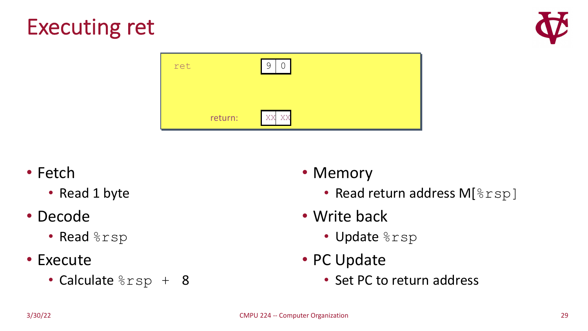



| ret     | 9<br>$\bigcap$ |
|---------|----------------|
|         |                |
| return: | XX XX          |

#### • Fetch

• Read 1 byte

#### • Decode

- Read  $8$ rsp
- Execute
	- Calculate  $8rsp + 8$

#### • Memory

- Read return address M[ $\text{\textdegree}$ rsp]
- Write back
	- Update %rsp
- PC Update
	- Set PC to return address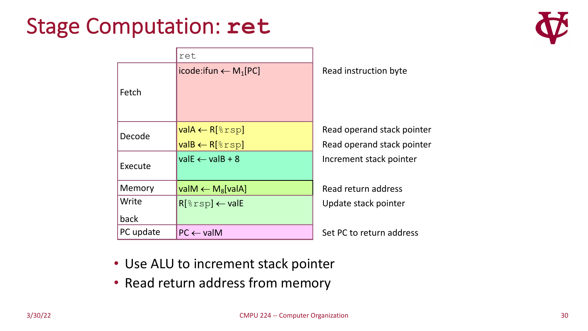#### Stage Computation: **ret**



|           | ret                                                    |                                                          |
|-----------|--------------------------------------------------------|----------------------------------------------------------|
| Fetch     | icode:ifun $\leftarrow$ M <sub>1</sub> [PC]            | Read instruction byte                                    |
| Decode    | $valA \leftarrow R[8rsp]$<br>$valB \leftarrow R[8rsp]$ | Read operand stack pointer<br>Read operand stack pointer |
| Execute   | $valE \leftarrow valB + 8$                             | Increment stack pointer                                  |
| Memory    | valM $\leftarrow$ M <sub>8</sub> [valA]                | Read return address                                      |
| Write     | $R[\text{srsp}] \leftarrow \text{valE}$                | Update stack pointer                                     |
| back      |                                                        |                                                          |
| PC update | $PC \leftarrow$ valM                                   | Set PC to return address                                 |

- Use ALU to increment stack pointer
- Read return address from memory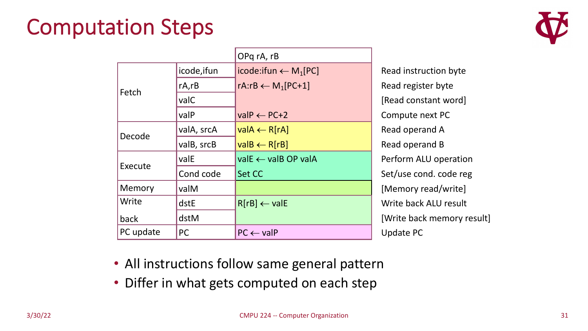#### Computation Steps



|           |             | OPq rA, rB                                  |  |
|-----------|-------------|---------------------------------------------|--|
|           | icode, ifun | icode:ifun $\leftarrow$ M <sub>1</sub> [PC] |  |
| Fetch     | $rA$ , $rB$ | rA:rB $\leftarrow$ M <sub>1</sub> [PC+1]    |  |
|           | valC        |                                             |  |
|           | valP        | $valP \leftarrow PC+2$                      |  |
| Decode    | valA, srcA  | $valA \leftarrow R[RA]$                     |  |
|           | valB, srcB  | $valB \leftarrow R[rB]$                     |  |
|           | valE        | $valE \leftarrow valB OP valA$              |  |
| Execute   | Cond code   | Set CC                                      |  |
| Memory    | valM        |                                             |  |
| Write     | dstE        | $R[rB] \leftarrow$ valE                     |  |
| back      | dstM        |                                             |  |
| PC update | <b>PC</b>   | $PC \leftarrow$ valP                        |  |

Read instruction byte Read register byte [Read constant word] Compute next PC Read operand A Read operand B Perform ALU operation Set/use cond. code reg [Memory read/write] Write back ALU result [Write back memory result] Update PC

- All instructions follow same general pattern
- Differ in what gets computed on each step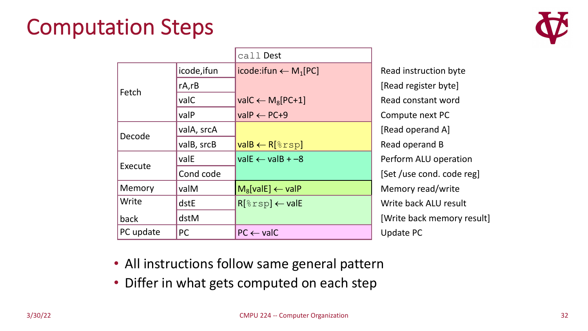#### Computation Steps



|           |             | call Dest                                   |                         |
|-----------|-------------|---------------------------------------------|-------------------------|
|           | icode, ifun | icode:ifun $\leftarrow$ M <sub>1</sub> [PC] | Re                      |
| Fetch     | $rA$ , $rB$ |                                             | ſR                      |
|           | valC        | val $C \leftarrow M_8[PC+1]$                | Re                      |
|           | valP        | $valP \leftarrow PC+9$                      | C <sub>C</sub>          |
| Decode    | valA, srcA  |                                             | $\overline{\mathsf{R}}$ |
|           | valB, srcB  | $valB \leftarrow R[8rsp]$                   | Re                      |
| Execute   | valE        | $valE \leftarrow valB + -8$                 | Pe                      |
|           | Cond code   |                                             | $\mathsf{S}$            |
| Memory    | valM        | $M_8$ [valE] $\leftarrow$ valP              | M                       |
| Write     | dstE        | $R[\text{srsp}] \leftarrow \text{valE}$     | W                       |
| back      | dstM        |                                             | [V                      |
| PC update | <b>PC</b>   | $PC \leftarrow$ valC                        | U                       |

ead instruction byte lead register byte] ead constant word ompute next PC lead operand A] ead operand B erform ALU operation et /use cond. code reg] lemory read/write Write back ALU result Vrite back memory result] pdate PC

- All instructions follow same general pattern
- Differ in what gets computed on each step